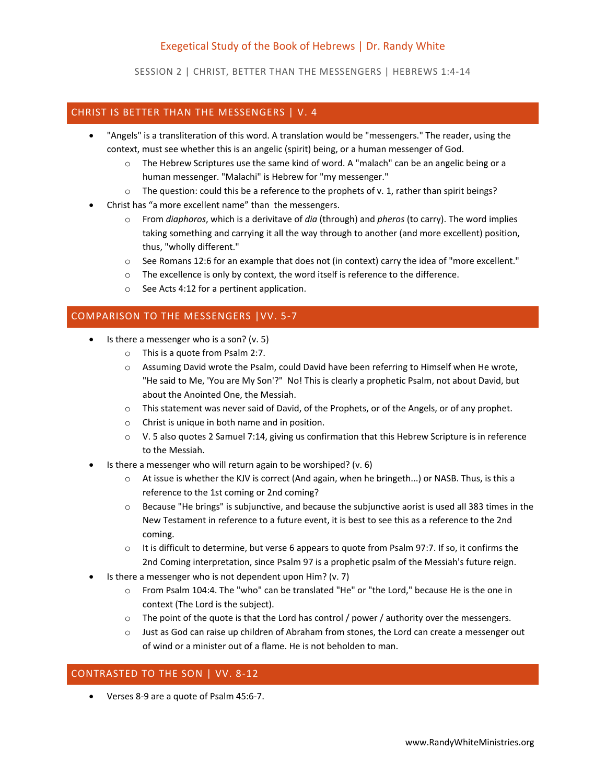# Exegetical Study of the Book of Hebrews | Dr. Randy White

SESSION 2 | CHRIST, BETTER THAN THE MESSENGERS | HEBREWS 1:4-14

### CHRIST IS BETTER THAN THE MESSENGERS | V. 4

- "Angels" is a transliteration of this word. A translation would be "messengers." The reader, using the context, must see whether this is an angelic (spirit) being, or a human messenger of God.
	- o The Hebrew Scriptures use the same kind of word. A "malach" can be an angelic being or a human messenger. "Malachi" is Hebrew for "my messenger."
	- $\circ$  The question: could this be a reference to the prophets of v. 1, rather than spirit beings?
- Christ has "a more excellent name" than the messengers.
	- o From *diaphoros*, which is a derivitave of *dia* (through) and *pheros* (to carry). The word implies taking something and carrying it all the way through to another (and more excellent) position, thus, "wholly different."
	- $\circ$  See Romans 12:6 for an example that does not (in context) carry the idea of "more excellent."
	- $\circ$  The excellence is only by context, the word itself is reference to the difference.
	- o See Acts 4:12 for a pertinent application.

## COMPARISON TO THE MESSENGERS |VV. 5-7

- $\bullet$  Is there a messenger who is a son? (v. 5)
	- o This is a quote from Psalm 2:7.
	- o Assuming David wrote the Psalm, could David have been referring to Himself when He wrote, "He said to Me, 'You are My Son'?" No! This is clearly a prophetic Psalm, not about David, but about the Anointed One, the Messiah.
	- o This statement was never said of David, of the Prophets, or of the Angels, or of any prophet.
	- o Christ is unique in both name and in position.
	- o V. 5 also quotes 2 Samuel 7:14, giving us confirmation that this Hebrew Scripture is in reference to the Messiah.
- Is there a messenger who will return again to be worshiped? (v. 6)
	- o At issue is whether the KJV is correct (And again, when he bringeth...) or NASB. Thus, is this a reference to the 1st coming or 2nd coming?
	- o Because "He brings" is subjunctive, and because the subjunctive aorist is used all 383 times in the New Testament in reference to a future event, it is best to see this as a reference to the 2nd coming.
	- $\circ$  It is difficult to determine, but verse 6 appears to quote from Psalm 97:7. If so, it confirms the 2nd Coming interpretation, since Psalm 97 is a prophetic psalm of the Messiah's future reign.
- Is there a messenger who is not dependent upon Him? (v. 7)
	- o From Psalm 104:4. The "who" can be translated "He" or "the Lord," because He is the one in context (The Lord is the subject).
	- $\circ$  The point of the quote is that the Lord has control / power / authority over the messengers.
	- $\circ$  Just as God can raise up children of Abraham from stones, the Lord can create a messenger out of wind or a minister out of a flame. He is not beholden to man.

### CONTRASTED TO THE SON | VV. 8-12

Verses 8-9 are a quote of Psalm 45:6-7.